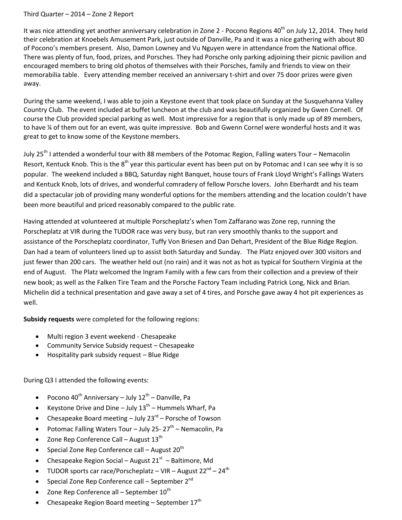## Third Quarter – 2014 – Zone 2 Report

It was nice attending yet another anniversary celebration in Zone 2 - Pocono Regions 40<sup>th</sup> on July 12, 2014. They held their celebration at Knoebels Amusement Park, just outside of Danville, Pa and it was a nice gathering with about 80 of Pocono's members present. Also, Damon Lowney and Vu Nguyen were in attendance from the National office. There was plenty of fun, food, prizes, and Porsches. They had Porsche only parking adjoining their picnic pavilion and encouraged members to bring old photos of themselves with their Porsches, family and friends to view on their memorabilia table. Every attending member received an anniversary t-shirt and over 75 door prizes were given away.

During the same weekend, I was able to join a Keystone event that took place on Sunday at the Susquehanna Valley Country Club. The event included at buffet luncheon at the club and was beautifully organized by Gwen Cornell. Of course the Club provided special parking as well. Most impressive for a region that is only made up of 89 members, to have ¼ of them out for an event, was quite impressive. Bob and Gwenn Cornel were wonderful hosts and it was great to get to know some of the Keystone members.

July 25<sup>th</sup> I attended a wonderful tour with 88 members of the Potomac Region, Falling waters Tour – Nemacolin Resort, Kentuck Knob. This is the 8<sup>th</sup> year this particular event has been put on by Potomac and I can see why it is so popular. The weekend included a BBQ, Saturday night Banquet, house tours of Frank Lloyd Wright's Fallings Waters and Kentuck Knob, lots of drives, and wonderful comradery of fellow Porsche lovers. John Eberhardt and his team did a spectacular job of providing many wonderful options for the members attending and the location couldn't have been more beautiful and priced reasonably compared to the public rate.

Having attended at volunteered at multiple Porscheplatz's when Tom Zaffarano was Zone rep, running the Porscheplatz at VIR during the TUDOR race was very busy, but ran very smoothly thanks to the support and assistance of the Porscheplatz coordinator, Tuffy Von Briesen and Dan Dehart, President of the Blue Ridge Region. Dan had a team of volunteers lined up to assist both Saturday and Sunday. The Platz enjoyed over 300 visitors and just fewer than 200 cars. The weather held out (no rain) and it was not as hot as typical for Southern Virginia at the end of August. The Platz welcomed the Ingram Family with a few cars from their collection and a preview of their new book; as well as the Falken Tire Team and the Porsche Factory Team including Patrick Long, Nick and Brian. Michelin did a technical presentation and gave away a set of 4 tires, and Porsche gave away 4 hot pit experiences as well.

**Subsidy requests** were completed for the following regions:

- Multi region 3 event weekend Chesapeake
- Community Service Subsidy request Chesapeake
- Hospitality park subsidy request Blue Ridge

During Q3 I attended the following events:

- Pocono 40<sup>th</sup> Anniversary July  $12^{th}$  Danville, Pa
- Keystone Drive and Dine July  $13^{th}$  Hummels Wharf, Pa
- Chesapeake Board meeting July 23<sup>rd</sup> Porsche of Towson
- Potomac Falling Waters Tour July 25-27<sup>th</sup> Nemacolin, Pa
- Zone Rep Conference Call August  $13<sup>th</sup>$
- Special Zone Rep Conference call August  $20^{th}$
- Chesapeake Region Social August  $21<sup>st</sup>$  Baltimore, Md
- TUDOR sports car race/Porscheplatz VIR August  $22^{nd}$   $24^{th}$
- Special Zone Rep Conference call September 2<sup>nd</sup>
- Zone Rep Conference all September  $10^{th}$
- Chesapeake Region Board meeting  $-$  September 17<sup>th</sup>